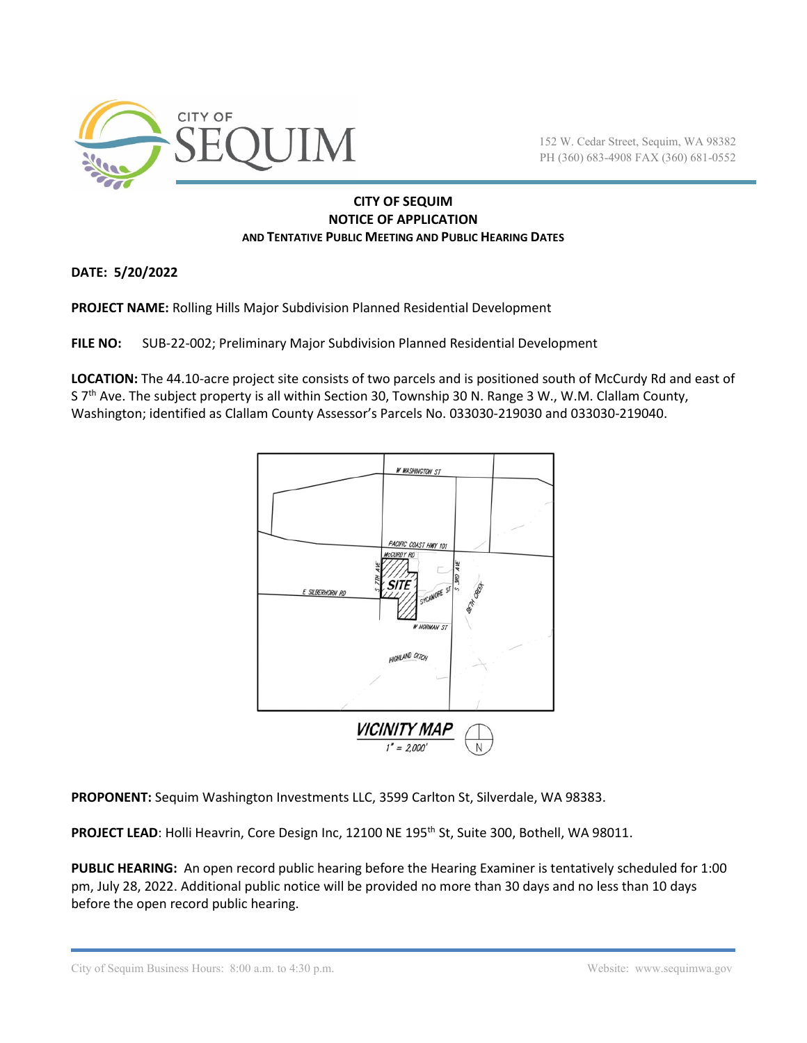

152 W. Cedar Street, Sequim, WA 98382 PH (360) 683-4908 FAX (360) 681-0552

## **CITY OF SEQUIM NOTICE OF APPLICATION AND TENTATIVE PUBLIC MEETING AND PUBLIC HEARING DATES**

**DATE: 5/20/2022**

**PROJECT NAME:** Rolling Hills Major Subdivision Planned Residential Development

**FILE NO:** SUB-22-002; Preliminary Major Subdivision Planned Residential Development

**LOCATION:** The 44.10-acre project site consists of two parcels and is positioned south of McCurdy Rd and east of S  $7<sup>th</sup>$  Ave. The subject property is all within Section 30, Township 30 N. Range 3 W., W.M. Clallam County, Washington; identified as Clallam County Assessor's Parcels No. 033030-219030 and 033030-219040.



**PROPONENT:** Sequim Washington Investments LLC, 3599 Carlton St, Silverdale, WA 98383.

PROJECT LEAD: Holli Heavrin, Core Design Inc, 12100 NE 195<sup>th</sup> St, Suite 300, Bothell, WA 98011.

**PUBLIC HEARING:** An open record public hearing before the Hearing Examiner is tentatively scheduled for 1:00 pm, July 28, 2022. Additional public notice will be provided no more than 30 days and no less than 10 days before the open record public hearing.

City of Sequim Business Hours: 8:00 a.m. to 4:30 p.m. Website: www.sequimwa.gov